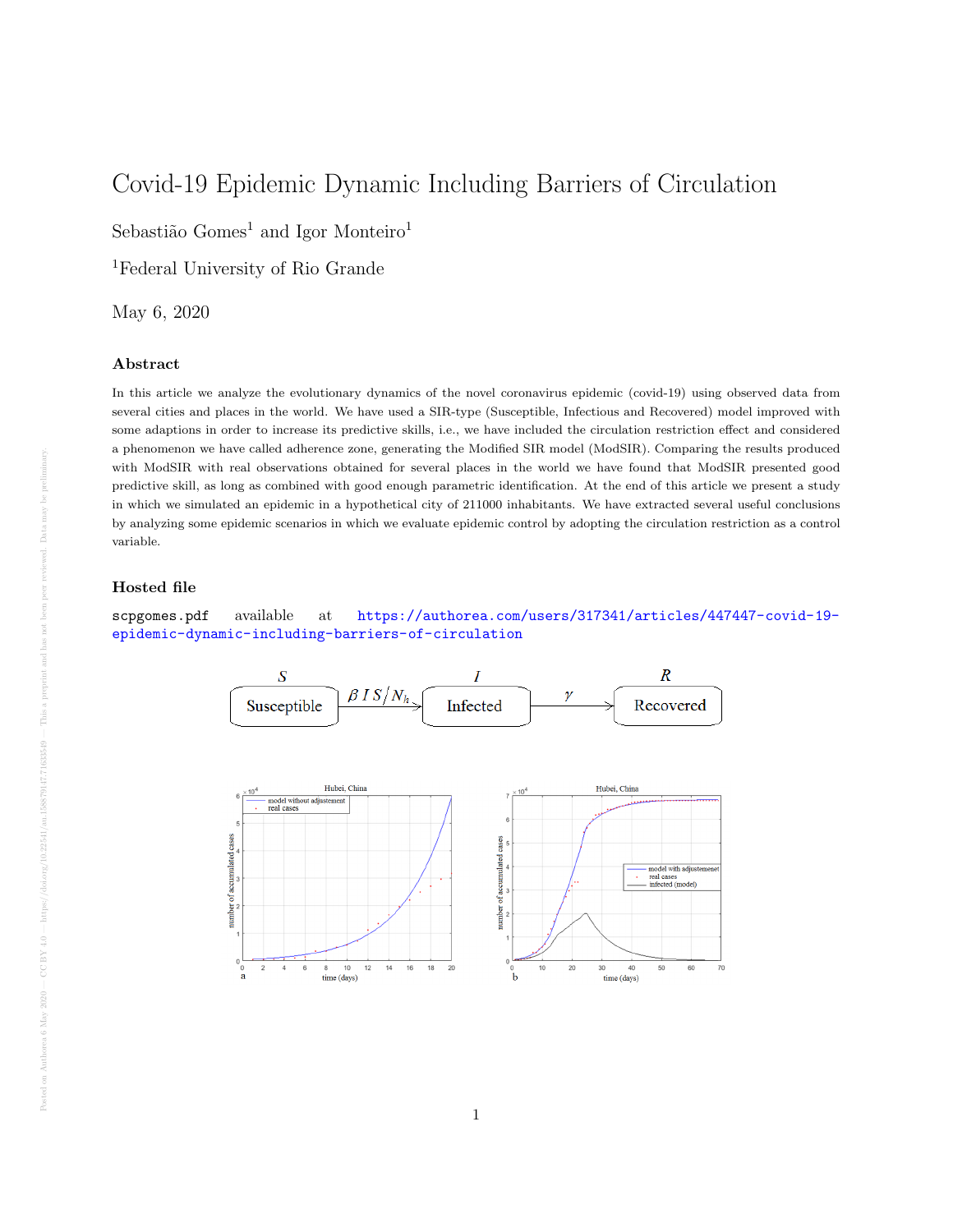## Covid-19 Epidemic Dynamic Including Barriers of Circulation

Sebastião $\rm{Gomes^1}$  and Igor  $\rm{Monteiro^1}$ 

<sup>1</sup>Federal University of Rio Grande

May 6, 2020

## Abstract

In this article we analyze the evolutionary dynamics of the novel coronavirus epidemic (covid-19) using observed data from several cities and places in the world. We have used a SIR-type (Susceptible, Infectious and Recovered) model improved with some adaptions in order to increase its predictive skills, i.e., we have included the circulation restriction effect and considered a phenomenon we have called adherence zone, generating the Modified SIR model (ModSIR). Comparing the results produced with ModSIR with real observations obtained for several places in the world we have found that ModSIR presented good predictive skill, as long as combined with good enough parametric identification. At the end of this article we present a study in which we simulated an epidemic in a hypothetical city of 211000 inhabitants. We have extracted several useful conclusions by analyzing some epidemic scenarios in which we evaluate epidemic control by adopting the circulation restriction as a control variable.

## Hosted file



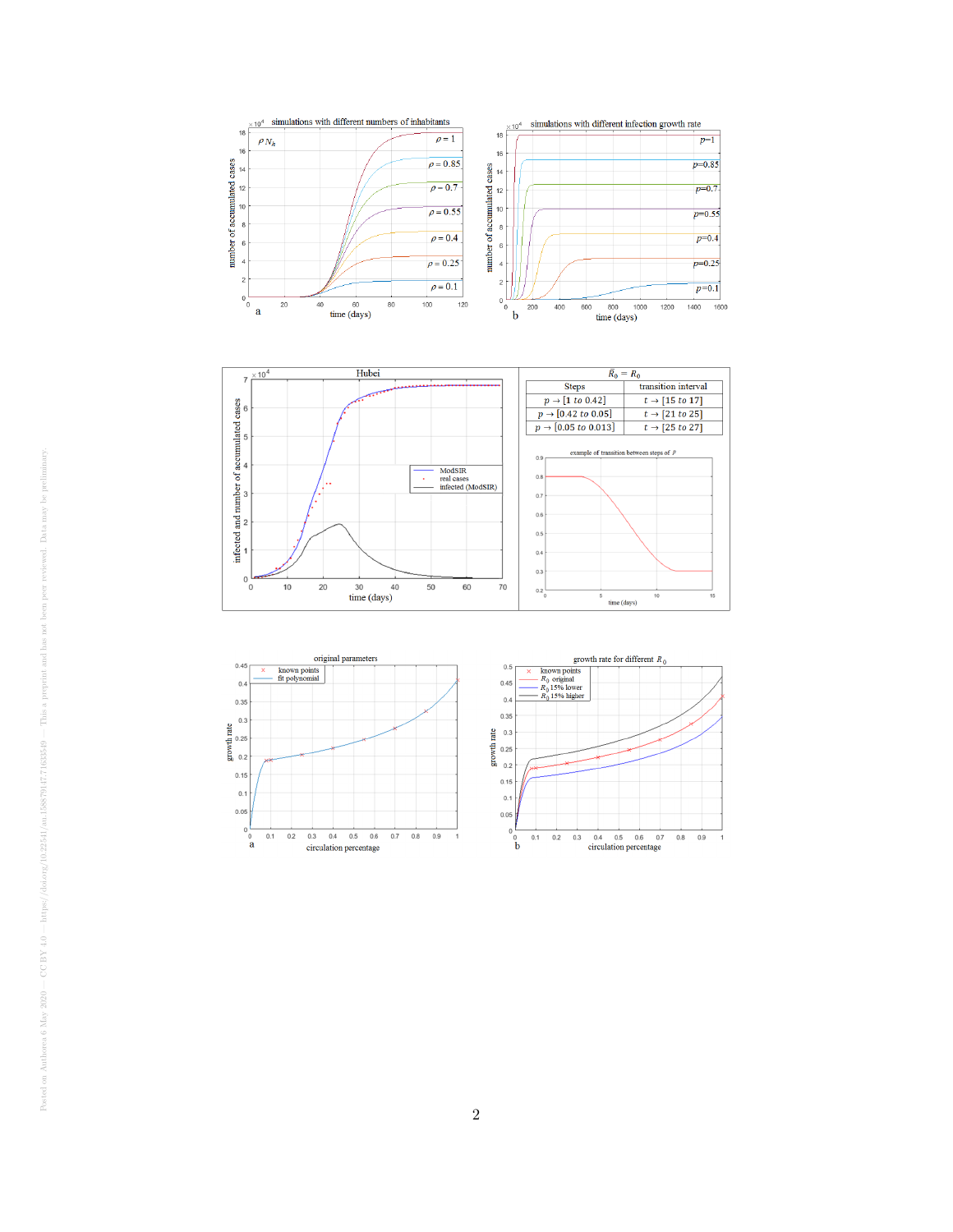



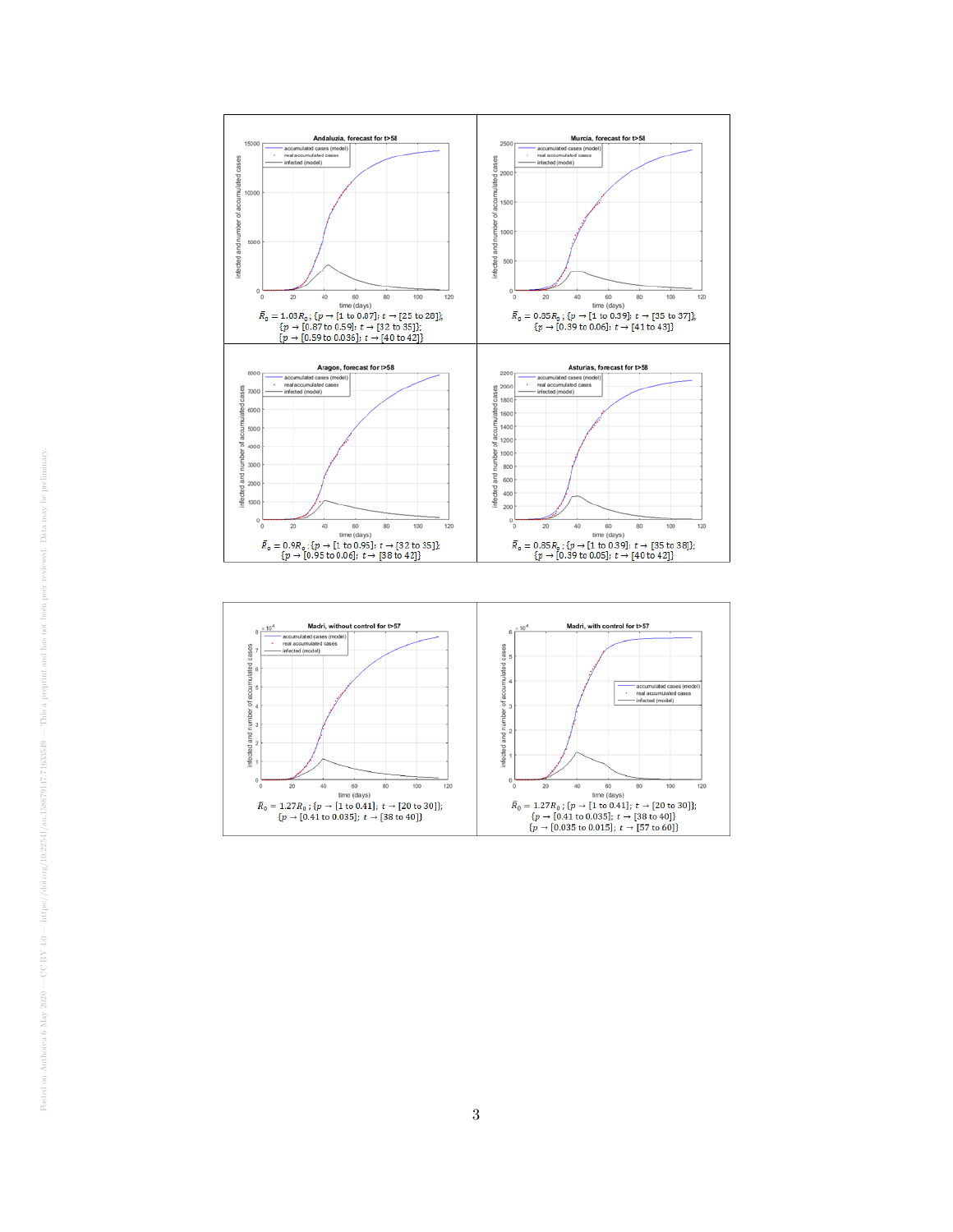

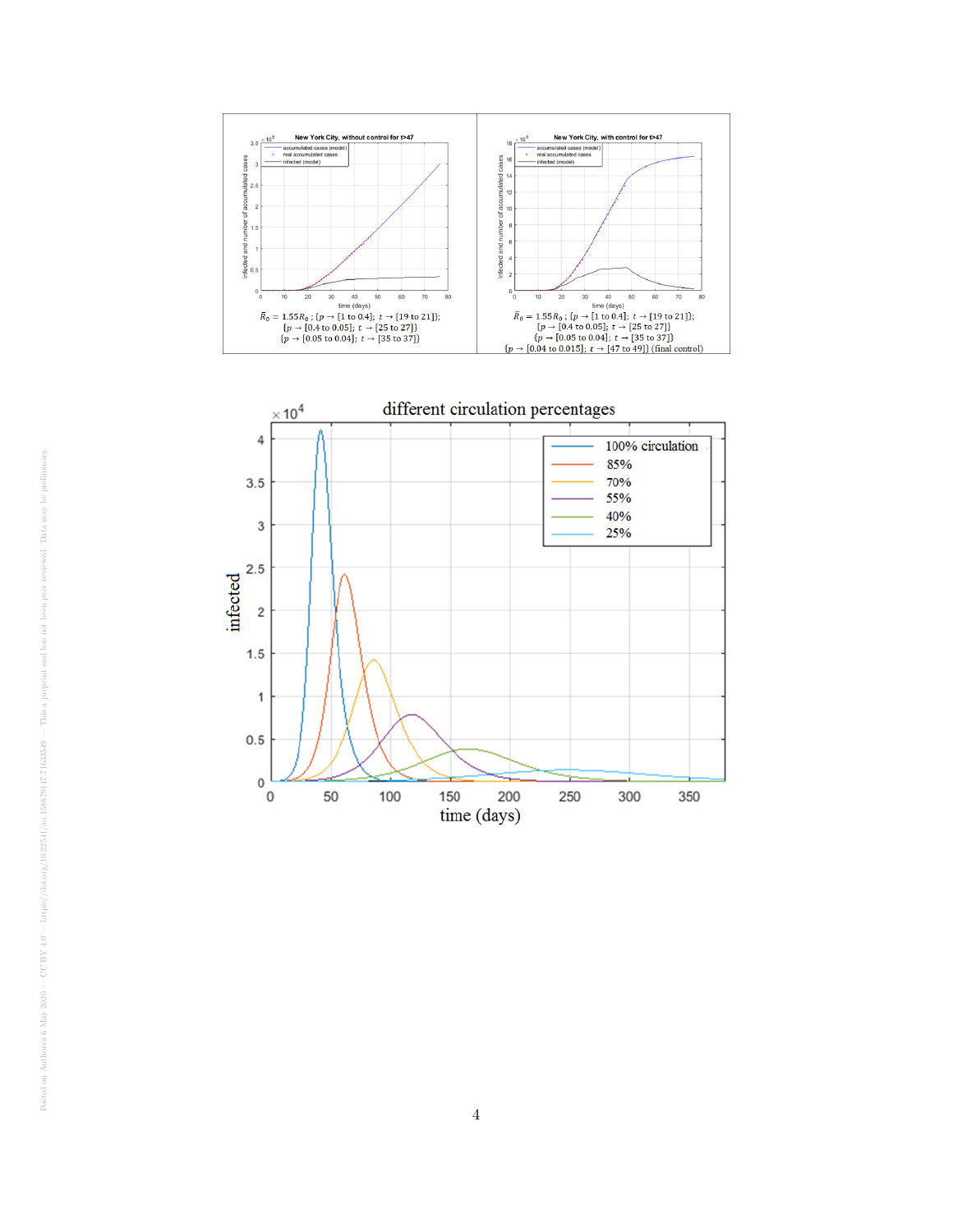

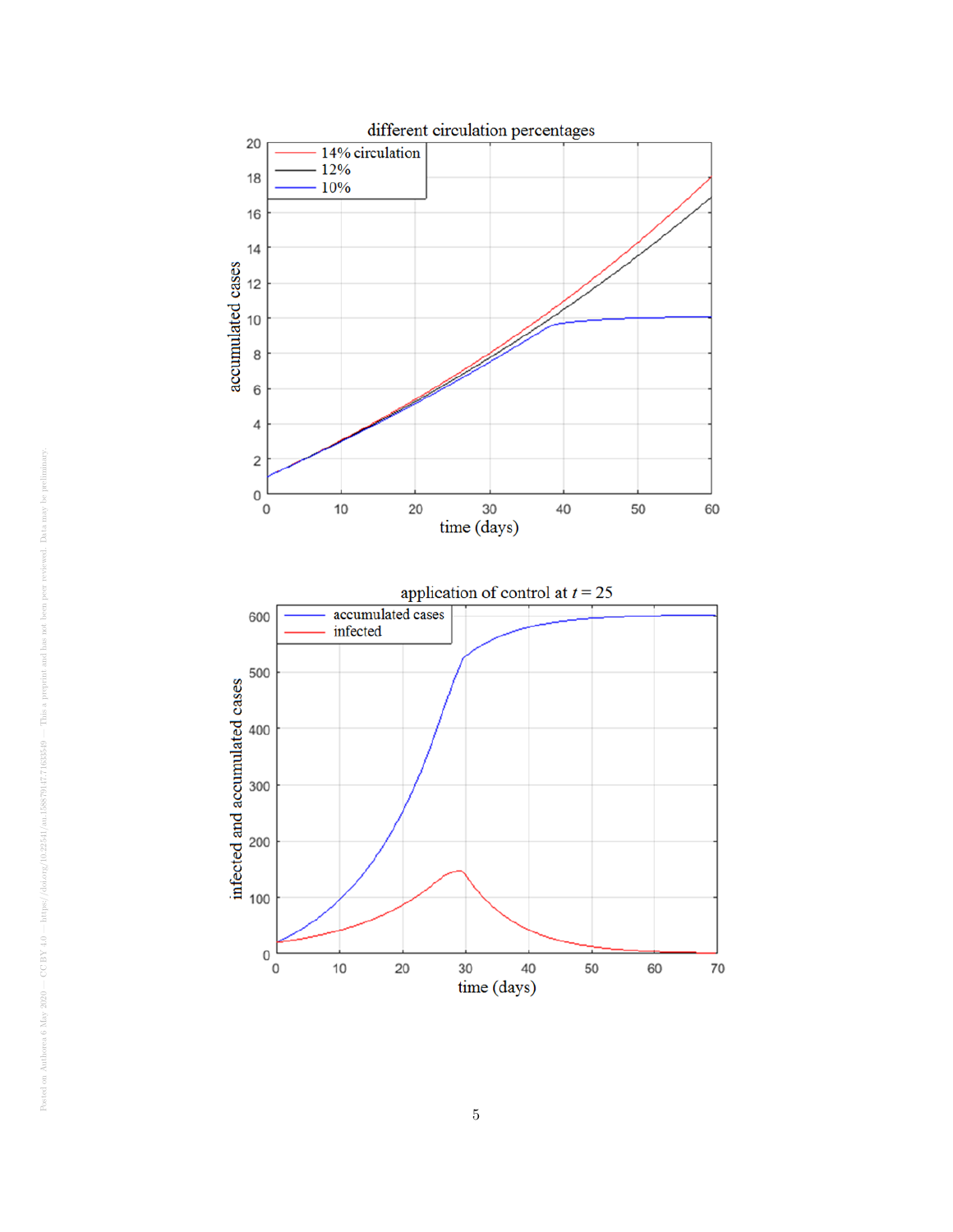